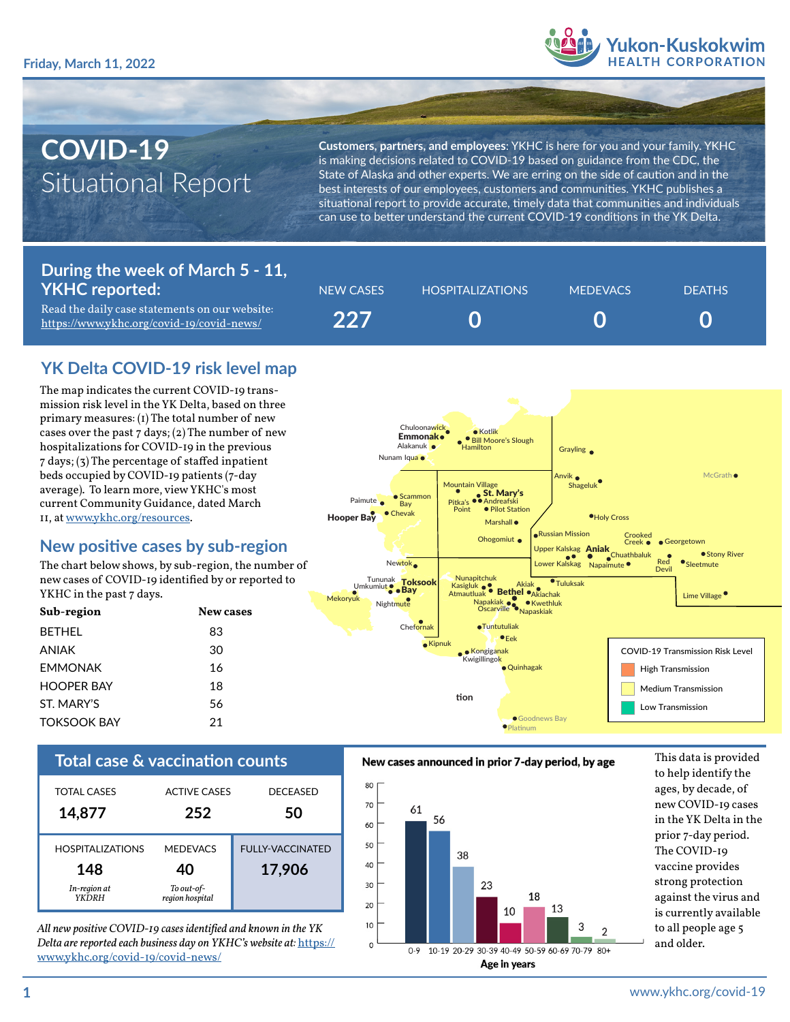

# **COVID-19** Situational Report

**Customers, partners, and employees**: YKHC is here for you and your family. YKHC is making decisions related to COVID-19 based on guidance from the CDC, the State of Alaska and other experts. We are erring on the side of caution and in the best interests of our employees, customers and communities. YKHC publishes a situational report to provide accurate, timely data that communities and individuals can use to better understand the current COVID-19 conditions in the YK Delta.

## **During the week of March 5 - 11, YKHC reported:**

Read the daily case statements on our website: <https://www.ykhc.org/covid-19/covid-news/>

| NEW CASES | <b>HOSPITALIZATIONS</b> | <b>MEDEVACS</b> | <b>DEATHS</b> |
|-----------|-------------------------|-----------------|---------------|
| 227       |                         |                 |               |

# **YK Delta COVID-19 risk level map**

The map indicates the current COVID-19 transmission risk level in the YK Delta, based on three primary measures: (1) The total number of new cases over the past  $7$  days; (2) The number of new hospitalizations for COVID-19 in the previous 7 days; (3) The percentage of staffed inpatient beds occupied by COVID-19 patients (7-day average). To learn more, view YKHC's most current Community Guidance, dated March 11, at [www.ykhc.org/resources](http://www.ykhc.org/resources).

# **New positive cases by sub-region**

The chart below shows, by sub-region, the number of new cases of COVID-19 identified by or reported to YKHC in the past 7 days.

| Sub-region         | New cases |
|--------------------|-----------|
| <b>BFTHFI</b>      | 83        |
| ANIAK              | 30        |
| <b>FMMONAK</b>     | 16        |
| <b>HOOPER BAY</b>  | 18        |
| ST MARY'S          | 56        |
| <b>TOKSOOK BAY</b> | 21        |



| <b>TOTAL CASES</b>                                             | <b>ACTIVE CASES</b>                                    | <b>DECEASED</b>                   |
|----------------------------------------------------------------|--------------------------------------------------------|-----------------------------------|
| 14,877                                                         | 252                                                    | 50                                |
| <b>HOSPITALIZATIONS</b><br>148<br>In-region at<br><b>YKDRH</b> | <b>MEDEVACS</b><br>40<br>To out-of-<br>region hospital | <b>FULLY-VACCINATED</b><br>17,906 |

*All new positive COVID-19 cases identified and known in the YK Delta are reported each business day on YKHC's website at:* [https://](https://www.ykhc.org/covid-19/covid-news/) [www.ykhc.org/covid-19/covid-news/](https://www.ykhc.org/covid-19/covid-news/)

#### **Total case & vaccination counts** New cases announced in prior 7-day period, by age This data is provided



to help identify the ages, by decade, of new COVID-19 cases in the YK Delta in the prior 7-day period. The COVID-19 vaccine provides strong protection against the virus and is currently available to all people age 5 and older.